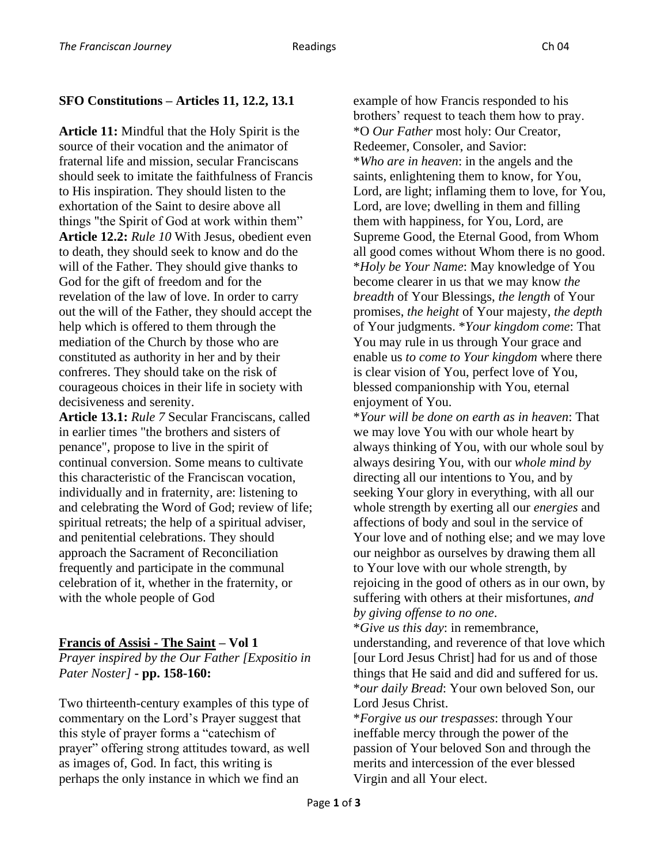## **SFO Constitutions – Articles 11, 12.2, 13.1**

**Article 11:** Mindful that the Holy Spirit is the source of their vocation and the animator of fraternal life and mission, secular Franciscans should seek to imitate the faithfulness of Francis to His inspiration. They should listen to the exhortation of the Saint to desire above all things "the Spirit of God at work within them" **Article 12.2:** *Rule 10* With Jesus, obedient even to death, they should seek to know and do the will of the Father. They should give thanks to God for the gift of freedom and for the revelation of the law of love. In order to carry out the will of the Father, they should accept the help which is offered to them through the mediation of the Church by those who are constituted as authority in her and by their confreres. They should take on the risk of courageous choices in their life in society with decisiveness and serenity.

**Article 13.1:** *Rule 7* Secular Franciscans, called in earlier times "the brothers and sisters of penance", propose to live in the spirit of continual conversion. Some means to cultivate this characteristic of the Franciscan vocation, individually and in fraternity, are: listening to and celebrating the Word of God; review of life; spiritual retreats; the help of a spiritual adviser, and penitential celebrations. They should approach the Sacrament of Reconciliation frequently and participate in the communal celebration of it, whether in the fraternity, or with the whole people of God

## **Francis of Assisi - The Saint – Vol 1**

*Prayer inspired by the Our Father [Expositio in Pater Noster]* **- pp. 158-160:**

Two thirteenth-century examples of this type of commentary on the Lord's Prayer suggest that this style of prayer forms a "catechism of prayer" offering strong attitudes toward, as well as images of, God. In fact, this writing is perhaps the only instance in which we find an

example of how Francis responded to his brothers' request to teach them how to pray. \*O *Our Father* most holy: Our Creator, Redeemer, Consoler, and Savior: \**Who are in heaven*: in the angels and the saints, enlightening them to know, for You, Lord, are light; inflaming them to love, for You, Lord, are love; dwelling in them and filling them with happiness, for You, Lord, are Supreme Good, the Eternal Good, from Whom all good comes without Whom there is no good. \**Holy be Your Name*: May knowledge of You become clearer in us that we may know *the breadth* of Your Blessings, *the length* of Your promises, *the height* of Your majesty, *the depth*  of Your judgments. \**Your kingdom come*: That You may rule in us through Your grace and enable us *to come to Your kingdom* where there is clear vision of You, perfect love of You, blessed companionship with You, eternal enjoyment of You.

\**Your will be done on earth as in heaven*: That we may love You with our whole heart by always thinking of You, with our whole soul by always desiring You, with our *whole mind by*  directing all our intentions to You, and by seeking Your glory in everything, with all our whole strength by exerting all our *energies* and affections of body and soul in the service of Your love and of nothing else; and we may love our neighbor as ourselves by drawing them all to Your love with our whole strength, by rejoicing in the good of others as in our own, by suffering with others at their misfortunes, *and by giving offense to no one*.

\**Give us this day*: in remembrance, understanding, and reverence of that love which [our Lord Jesus Christ] had for us and of those things that He said and did and suffered for us. \**our daily Bread*: Your own beloved Son, our Lord Jesus Christ.

\**Forgive us our trespasses*: through Your ineffable mercy through the power of the passion of Your beloved Son and through the merits and intercession of the ever blessed Virgin and all Your elect.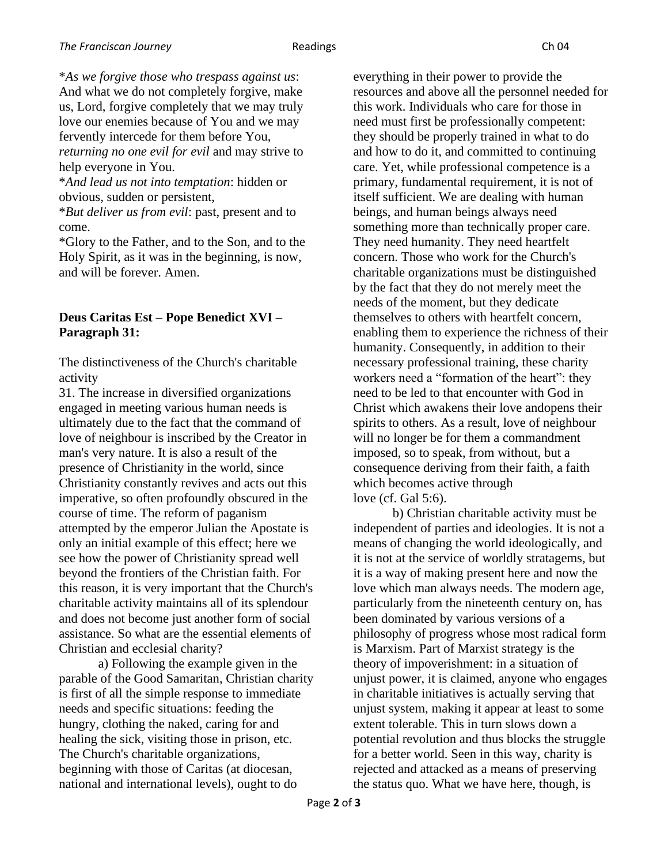\**As we forgive those who trespass against us*: And what we do not completely forgive, make us, Lord, forgive completely that we may truly love our enemies because of You and we may fervently intercede for them before You,

*returning no one evil for evil* and may strive to help everyone in You.

\**And lead us not into temptation*: hidden or obvious, sudden or persistent,

\**But deliver us from evil*: past, present and to come.

\*Glory to the Father, and to the Son, and to the Holy Spirit, as it was in the beginning, is now, and will be forever. Amen.

## **Deus Caritas Est – Pope Benedict XVI – Paragraph 31:**

The distinctiveness of the Church's charitable activity

31. The increase in diversified organizations engaged in meeting various human needs is ultimately due to the fact that the command of love of neighbour is inscribed by the Creator in man's very nature. It is also a result of the presence of Christianity in the world, since Christianity constantly revives and acts out this imperative, so often profoundly obscured in the course of time. The reform of paganism attempted by the emperor Julian the Apostate is only an initial example of this effect; here we see how the power of Christianity spread well beyond the frontiers of the Christian faith. For this reason, it is very important that the Church's charitable activity maintains all of its splendour and does not become just another form of social assistance. So what are the essential elements of Christian and ecclesial charity?

a) Following the example given in the parable of the Good Samaritan, Christian charity is first of all the simple response to immediate needs and specific situations: feeding the hungry, clothing the naked, caring for and healing the sick, visiting those in prison, etc. The Church's charitable organizations, beginning with those of Caritas (at diocesan, national and international levels), ought to do

everything in their power to provide the resources and above all the personnel needed for this work. Individuals who care for those in need must first be professionally competent: they should be properly trained in what to do and how to do it, and committed to continuing care. Yet, while professional competence is a primary, fundamental requirement, it is not of itself sufficient. We are dealing with human beings, and human beings always need something more than technically proper care. They need humanity. They need heartfelt concern. Those who work for the Church's charitable organizations must be distinguished by the fact that they do not merely meet the needs of the moment, but they dedicate themselves to others with heartfelt concern, enabling them to experience the richness of their humanity. Consequently, in addition to their necessary professional training, these charity workers need a "formation of the heart": they need to be led to that encounter with God in Christ which awakens their love andopens their spirits to others. As a result, love of neighbour will no longer be for them a commandment imposed, so to speak, from without, but a consequence deriving from their faith, a faith which becomes active through love (cf. Gal 5:6).

b) Christian charitable activity must be independent of parties and ideologies. It is not a means of changing the world ideologically, and it is not at the service of worldly stratagems, but it is a way of making present here and now the love which man always needs. The modern age, particularly from the nineteenth century on, has been dominated by various versions of a philosophy of progress whose most radical form is Marxism. Part of Marxist strategy is the theory of impoverishment: in a situation of unjust power, it is claimed, anyone who engages in charitable initiatives is actually serving that unjust system, making it appear at least to some extent tolerable. This in turn slows down a potential revolution and thus blocks the struggle for a better world. Seen in this way, charity is rejected and attacked as a means of preserving the status quo. What we have here, though, is